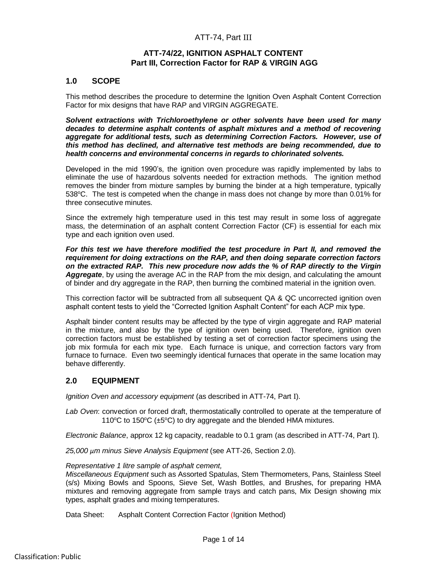# ATT-74, Part III

## **ATT-74/22, IGNITION ASPHALT CONTENT Part III, Correction Factor for RAP & VIRGIN AGG**

## **1.0 SCOPE**

This method describes the procedure to determine the Ignition Oven Asphalt Content Correction Factor for mix designs that have RAP and VIRGIN AGGREGATE.

*Solvent extractions with Trichloroethylene or other solvents have been used for many decades to determine asphalt contents of asphalt mixtures and a method of recovering aggregate for additional tests, such as determining Correction Factors. However, use of this method has declined, and alternative test methods are being recommended, due to health concerns and environmental concerns in regards to chlorinated solvents.*

Developed in the mid 1990's, the ignition oven procedure was rapidly implemented by labs to eliminate the use of hazardous solvents needed for extraction methods. The ignition method removes the binder from mixture samples by burning the binder at a high temperature, typically 538°C. The test is competed when the change in mass does not change by more than 0.01% for three consecutive minutes.

Since the extremely high temperature used in this test may result in some loss of aggregate mass, the determination of an asphalt content Correction Factor (CF) is essential for each mix type and each ignition oven used.

*For this test we have therefore modified the test procedure in Part II, and removed the requirement for doing extractions on the RAP, and then doing separate correction factors on the extracted RAP. This new procedure now adds the % of RAP directly to the Virgin Aggregate*, by using the average AC in the RAP from the mix design, and calculating the amount of binder and dry aggregate in the RAP, then burning the combined material in the ignition oven.

This correction factor will be subtracted from all subsequent QA & QC uncorrected ignition oven asphalt content tests to yield the "Corrected Ignition Asphalt Content" for each ACP mix type.

Asphalt binder content results may be affected by the type of virgin aggregate and RAP material in the mixture, and also by the type of ignition oven being used. Therefore, ignition oven correction factors must be established by testing a set of correction factor specimens using the job mix formula for each mix type. Each furnace is unique, and correction factors vary from furnace to furnace. Even two seemingly identical furnaces that operate in the same location may behave differently.

# **2.0 EQUIPMENT**

*Ignition Oven and accessory equipment* (as described in ATT-74, Part I).

*Lab Oven*: convection or forced draft, thermostatically controlled to operate at the temperature of 110 $\degree$ C to 150 $\degree$ C ( $\pm$ 5 $\degree$ C) to dry aggregate and the blended HMA mixtures.

*Electronic Balance*, approx 12 kg capacity, readable to 0.1 gram (as described in ATT-74, Part I).

*25,000 µm minus Sieve Analysis Equipment* (see ATT-26, Section 2.0).

## *Representative 1 litre sample of asphalt cement,*

*Miscellaneous Equipment* such as Assorted Spatulas, Stem Thermometers, Pans, Stainless Steel (s/s) Mixing Bowls and Spoons, Sieve Set, Wash Bottles, and Brushes, for preparing HMA mixtures and removing aggregate from sample trays and catch pans, Mix Design showing mix types, asphalt grades and mixing temperatures.

Data Sheet: Asphalt Content Correction Factor (Ignition Method)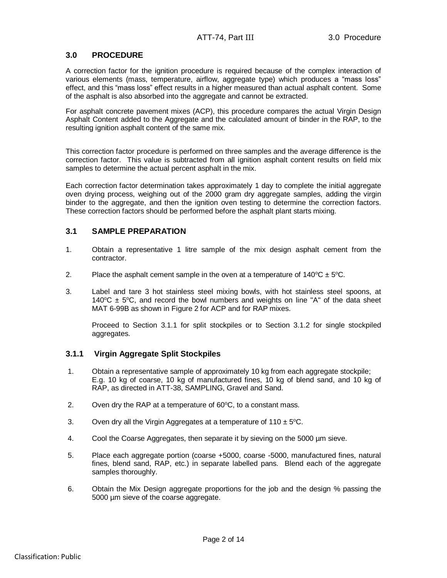# **3.0 PROCEDURE**

A correction factor for the ignition procedure is required because of the complex interaction of various elements (mass, temperature, airflow, aggregate type) which produces a "mass loss" effect, and this "mass loss" effect results in a higher measured than actual asphalt content. Some of the asphalt is also absorbed into the aggregate and cannot be extracted.

For asphalt concrete pavement mixes (ACP), this procedure compares the actual Virgin Design Asphalt Content added to the Aggregate and the calculated amount of binder in the RAP, to the resulting ignition asphalt content of the same mix.

This correction factor procedure is performed on three samples and the average difference is the correction factor. This value is subtracted from all ignition asphalt content results on field mix samples to determine the actual percent asphalt in the mix.

Each correction factor determination takes approximately 1 day to complete the initial aggregate oven drying process, weighing out of the 2000 gram dry aggregate samples, adding the virgin binder to the aggregate, and then the ignition oven testing to determine the correction factors. These correction factors should be performed before the asphalt plant starts mixing.

## **3.1 SAMPLE PREPARATION**

- 1. Obtain a representative 1 litre sample of the mix design asphalt cement from the contractor.
- 2. Place the asphalt cement sample in the oven at a temperature of  $140^{\circ}\text{C} \pm 5^{\circ}\text{C}$ .
- 3. Label and tare 3 hot stainless steel mixing bowls, with hot stainless steel spoons, at 140 $^{\circ}$ C  $\pm$  5 $^{\circ}$ C, and record the bowl numbers and weights on line "A" of the data sheet MAT 6-99B as shown in Figure 2 for ACP and for RAP mixes.

Proceed to Section 3.1.1 for split stockpiles or to Section 3.1.2 for single stockpiled aggregates.

## **3.1.1 Virgin Aggregate Split Stockpiles**

- 1. Obtain a representative sample of approximately 10 kg from each aggregate stockpile; E.g. 10 kg of coarse, 10 kg of manufactured fines, 10 kg of blend sand, and 10 kg of RAP, as directed in ATT-38, SAMPLING, Gravel and Sand.
- 2. Oven dry the RAP at a temperature of  $60^{\circ}$ C, to a constant mass.
- 3. Oven dry all the Virgin Aggregates at a temperature of  $110 \pm 5^{\circ}$ C.
- 4. Cool the Coarse Aggregates, then separate it by sieving on the 5000 µm sieve.
- 5. Place each aggregate portion (coarse +5000, coarse -5000, manufactured fines, natural fines, blend sand, RAP, etc.) in separate labelled pans. Blend each of the aggregate samples thoroughly.
- 6. Obtain the Mix Design aggregate proportions for the job and the design % passing the 5000 µm sieve of the coarse aggregate.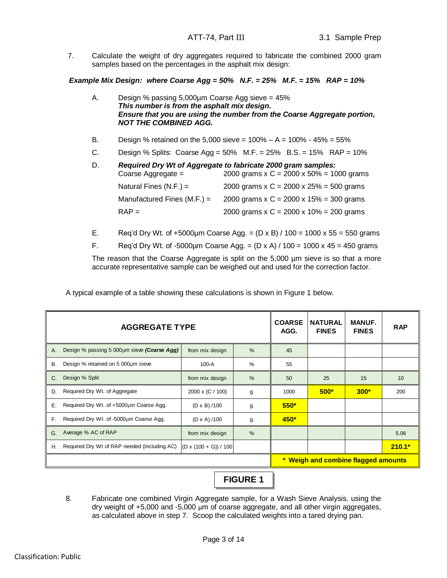7. Calculate the weight of dry aggregates required to fabricate the combined 2000 gram samples based on the percentages in the asphalt mix design:

*Example Mix Design: where Coarse Agg = 50% N.F. = 25% M.F. = 15% RAP = 10%*

| Α.        | Design % passing $5,000\mu$ m Coarse Agg sieve = 45%<br>This number is from the asphalt mix design.<br><b>NOT THE COMBINED AGG.</b> | Ensure that you are using the number from the Coarse Aggregate portion,                                          |
|-----------|-------------------------------------------------------------------------------------------------------------------------------------|------------------------------------------------------------------------------------------------------------------|
| <b>B.</b> |                                                                                                                                     | Design % retained on the 5,000 sieve = $100\% - A = 100\% - 45\% = 55\%$                                         |
| C.        |                                                                                                                                     | Design % Splits: Coarse Agg = $50\%$ M.F. = $25\%$ B.S. = $15\%$ RAP = $10\%$                                    |
| D.        | Coarse Aggregate =                                                                                                                  | Required Dry Wt of Aggregate to fabricate 2000 gram samples:<br>2000 grams x C = $2000 \times 50\% = 1000$ grams |
|           | Natural Fines $(N.F.) =$                                                                                                            | 2000 grams x C = 2000 x $25\%$ = 500 grams                                                                       |
|           | Manufactured Fines $(M.F.) =$                                                                                                       | 2000 grams x C = 2000 x $15\%$ = 300 grams                                                                       |
|           | $RAP =$                                                                                                                             | 2000 grams x C = 2000 x 10% = 200 grams                                                                          |

- E. Req'd Dry Wt. of +5000µm Coarse Agg. =  $(D \times B) / 100 = 1000 \times 55 = 550$  grams
- F. Req'd Dry Wt. of -5000µm Coarse Agg. =  $(D \times A) / 100 = 1000 \times 45 = 450$  grams

The reason that the Coarse Aggregate is split on the 5,000 µm sieve is so that a more accurate representative sample can be weighed out and used for the correction factor.

A typical example of a table showing these calculations is shown in Figure 1 below.

|    | <b>AGGREGATE TYPE</b>                        | <b>COARSE</b><br>AGG.   | <b>NATURAL</b><br><b>FINES</b> | <b>MANUF.</b><br><b>FINES</b> | <b>RAP</b>                          |        |          |
|----|----------------------------------------------|-------------------------|--------------------------------|-------------------------------|-------------------------------------|--------|----------|
| A. | Design % passing 5 000um sieve (Coarse Agg)  | from mix design         | %                              | 45                            |                                     |        |          |
| В. | Design % retained on $5000 \mu m$ sieve      | $100-A$                 | %                              | 55                            |                                     |        |          |
| C. | Design % Split                               | from mix design         | %                              | 50                            | 25                                  | 15     | 10       |
| D. | Required Dry Wt. of Aggregate                | 2000 x (C / 100)        | g.                             | 1000                          | $500*$                              | $300*$ | 200      |
| Е. | Required Dry Wt. of +5000µm Coarse Agg.      | $(D \times B) / 100$    | g.                             | $550*$                        |                                     |        |          |
| F. | Required Dry Wt. of -5000um Coarse Agg.      | $(D \times A)/100$      | g.                             | 450*                          |                                     |        |          |
| G. | Average % AC of RAP                          | from mix design         | %                              |                               |                                     |        | 5.06     |
| Н. | Required Dry Wt of RAP needed (including AC) | $(D x (100 + G)) / 100$ |                                |                               |                                     |        | $210.1*$ |
|    |                                              |                         |                                |                               | * Weigh and combine flagged amounts |        |          |



8. Fabricate one combined Virgin Aggregate sample, for a Wash Sieve Analysis, using the dry weight of +5,000 and -5,000 µm of coarse aggregate, and all other virgin aggregates, as calculated above in step 7. Scoop the calculated weights into a tared drying pan.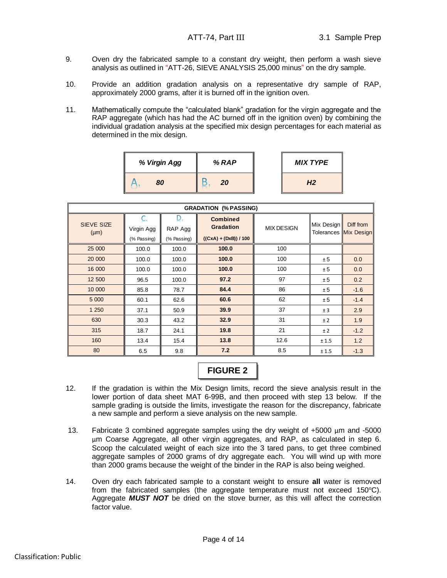- 9. Oven dry the fabricated sample to a constant dry weight, then perform a wash sieve analysis as outlined in "ATT-26, SIEVE ANALYSIS 25,000 minus" on the dry sample.
- 10. Provide an addition gradation analysis on a representative dry sample of RAP, approximately 2000 grams, after it is burned off in the ignition oven.
- 11. Mathematically compute the "calculated blank" gradation for the virgin aggregate and the RAP aggregate (which has had the AC burned off in the ignition oven) by combining the individual gradation analysis at the specified mix design percentages for each material as determined in the mix design.

| ີ            |       |                 |
|--------------|-------|-----------------|
| % Virgin Agg | % RAP | <b>MIX TYPE</b> |
| 80           | 20    | H <sub>2</sub>  |

| <b>GRADATION (% PASSING)</b>   |                           |                             |                                                                |                   |            |                                    |
|--------------------------------|---------------------------|-----------------------------|----------------------------------------------------------------|-------------------|------------|------------------------------------|
| <b>SIEVE SIZE</b><br>$(\mu m)$ | Virgin Agg<br>(% Passing) | D<br>RAP Agg<br>(% Passing) | <b>Combined</b><br><b>Gradation</b><br>$((CxA) + (DxB)) / 100$ | <b>MIX DESIGN</b> | Mix Design | Diff from<br>Tolerances Mix Design |
| 25 000                         | 100.0                     | 100.0                       | 100.0                                                          | 100               |            |                                    |
| 20 000                         | 100.0                     | 100.0                       | 100.0                                                          | 100               | ± 5        | 0.0                                |
| 16 000                         | 100.0                     | 100.0                       | 100.0                                                          | 100               | ± 5        | 0.0                                |
| 12 500                         | 96.5                      | 100.0                       | 97.2                                                           | 97                | ± 5        | 0.2                                |
| 10 000                         | 85.8                      | 78.7                        | 84.4                                                           | 86                | ± 5        | $-1.6$                             |
| 5 0 0 0                        | 60.1                      | 62.6                        | 60.6                                                           | 62                | ± 5        | $-1.4$                             |
| 1 250                          | 37.1                      | 50.9                        | 39.9                                                           | 37                | ± 3        | 2.9                                |
| 630                            | 30.3                      | 43.2                        | 32.9                                                           | 31                | ±2         | 1.9                                |
| 315                            | 18.7                      | 24.1                        | 19.8                                                           | 21                | ±2         | $-1.2$                             |
| 160                            | 13.4                      | 15.4                        | 13.8                                                           | 12.6              | ± 1.5      | 1.2                                |
| 80                             | 6.5                       | 9.8                         | 7.2                                                            | 8.5               | ± 1.5      | $-1.3$                             |



- 12. If the gradation is within the Mix Design limits, record the sieve analysis result in the lower portion of data sheet MAT 6-99B, and then proceed with step 13 below. If the sample grading is outside the limits, investigate the reason for the discrepancy, fabricate a new sample and perform a sieve analysis on the new sample.
- 13. Fabricate 3 combined aggregate samples using the dry weight of +5000 µm and -5000 µm Coarse Aggregate, all other virgin aggregates, and RAP, as calculated in step 6. Scoop the calculated weight of each size into the 3 tared pans, to get three combined aggregate samples of 2000 grams of dry aggregate each. You will wind up with more than 2000 grams because the weight of the binder in the RAP is also being weighed.
- 14. Oven dry each fabricated sample to a constant weight to ensure **all** water is removed from the fabricated samples (the aggregate temperature must not exceed 150 $^{\circ}$ C). Aggregate *MUST NOT* be dried on the stove burner, as this will affect the correction factor value.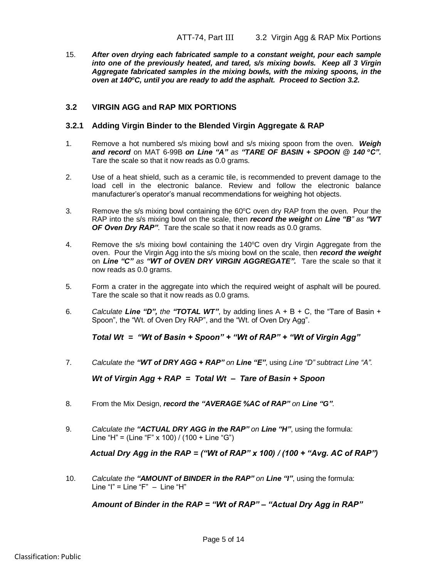15. *After oven drying each fabricated sample to a constant weight, pour each sample into one of the previously heated, and tared, s/s mixing bowls. Keep all 3 Virgin Aggregate fabricated samples in the mixing bowls, with the mixing spoons, in the oven at 140<sup>o</sup>C, until you are ready to add the asphalt. Proceed to Section 3.2.*

## **3.2 VIRGIN AGG and RAP MIX PORTIONS**

## **3.2.1 Adding Virgin Binder to the Blended Virgin Aggregate & RAP**

- 1. Remove a hot numbered s/s mixing bowl and s/s mixing spoon from the oven. *Weigh and record* on MAT 6-99B *on Line "A" as "TARE OF BASIN + SPOON @ 140 <sup>o</sup>C".* Tare the scale so that it now reads as 0.0 grams.
- 2. Use of a heat shield, such as a ceramic tile, is recommended to prevent damage to the load cell in the electronic balance. Review and follow the electronic balance manufacturer's operator's manual recommendations for weighing hot objects.
- 3. Remove the s/s mixing bowl containing the 60°C oven dry RAP from the oven. Pour the RAP into the s/s mixing bowl on the scale, then *record the weight on Line "B" as "WT OF Oven Dry RAP"*. Tare the scale so that it now reads as 0.0 grams.
- 4. Remove the s/s mixing bowl containing the  $140^{\circ}$ C oven dry Virgin Aggregate from the oven. Pour the Virgin Agg into the s/s mixing bowl on the scale, then *record the weight* on *Line "C" as "WT of OVEN DRY VIRGIN AGGREGATE".* Tare the scale so that it now reads as 0.0 grams.
- 5. Form a crater in the aggregate into which the required weight of asphalt will be poured. Tare the scale so that it now reads as 0.0 grams.
- 6. Calculate **Line "D", the "TOTAL WT"**, by adding lines  $A + B + C$ , the "Tare of Basin + Spoon", the "Wt. of Oven Dry RAP", and the "Wt. of Oven Dry Agg".

*Total Wt = "Wt of Basin + Spoon" + "Wt of RAP" + "Wt of Virgin Agg"*

7. *Calculate the "WT of DRY AGG + RAP" on Line "E"*, using *Line "D" subtract Line "A".*

*Wt of Virgin Agg + RAP = Total Wt – Tare of Basin + Spoon*

- 8. From the Mix Design, *record the "AVERAGE %AC of RAP" on Line "G"*.
- 9. *Calculate the "ACTUAL DRY AGG in the RAP" on Line "H"*, using the formula: Line "H" = (Line "F" x 100) / (100 + Line "G")

## *Actual Dry Agg in the RAP = ("Wt of RAP" x 100) / (100 + "Avg. AC of RAP")*

10. *Calculate the "AMOUNT of BINDER in the RAP" on Line "I"*, using the formula: Line "I" = Line "F"  $-$  Line "H"

## *Amount of Binder in the RAP = "Wt of RAP" – "Actual Dry Agg in RAP"*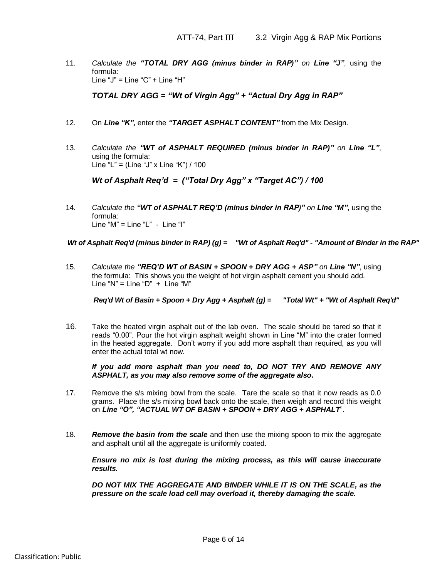11. *Calculate the "TOTAL DRY AGG (minus binder in RAP)" on Line "J"*, using the formula: Line " $J$ " = Line " $C$ " + Line "H"

*TOTAL DRY AGG = "Wt of Virgin Agg" + "Actual Dry Agg in RAP"*

- 12. On *Line "K",* enter the *"TARGET ASPHALT CONTENT"* from the Mix Design.
- 13. *Calculate the "WT of ASPHALT REQUIRED (minus binder in RAP)" on Line "L"*, using the formula: Line "L" = (Line "J" x Line "K") / 100

*Wt of Asphalt Req'd = ("Total Dry Agg" x "Target AC") / 100*

14. *Calculate the "WT of ASPHALT REQ'D (minus binder in RAP)" on Line "M"*, using the formula: Line " $M$ " = Line "L" - Line "l"

15. *Calculate the "REQ'D WT of BASIN + SPOON + DRY AGG + ASP" on Line "N"*, using the formula: This shows you the weight of hot virgin asphalt cement you should add. Line "N" = Line "D" + Line "M"

Wrot Asphalt Req'd' (minus binder in RAP) (g) = "Wrot Asphalt Req'd"- "Amount of Binder in the RAP"<br>
15. Calculate the "REQ'D WT of BASIN - SPOON + DRY AGG + ASP" on Line "W", using<br>
the fermular. This binder was journle 16. Take the heated virgin asphalt out of the lab oven. The scale should be tared so that it reads "0.00". Pour the hot virgin asphalt weight shown in Line "M" into the crater formed in the heated aggregate. Don't worry if you add more asphalt than required, as you will enter the actual total wt now.

*If you add more asphalt than you need to, DO NOT TRY AND REMOVE ANY ASPHALT, as you may also remove some of the aggregate also.*

- 17. Remove the s/s mixing bowl from the scale. Tare the scale so that it now reads as 0.0 grams. Place the s/s mixing bowl back onto the scale, then weigh and record this weight on *Line "O", "ACTUAL WT OF BASIN + SPOON + DRY AGG + ASPHALT*".
- 18. *Remove the basin from the scale* and then use the mixing spoon to mix the aggregate and asphalt until all the aggregate is uniformly coated.

*Ensure no mix is lost during the mixing process, as this will cause inaccurate results.* 

*DO NOT MIX THE AGGREGATE AND BINDER WHILE IT IS ON THE SCALE, as the pressure on the scale load cell may overload it, thereby damaging the scale.*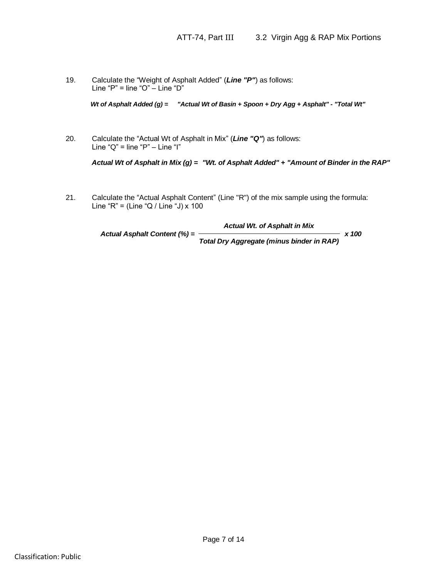19. Calculate the "Weight of Asphalt Added" (*Line "P"*) as follows: Line "P" = line "O"  $-$  Line "D"

*Actual Wt of Asphalt Added (g) = "Actual Wt of Basin + Spoon + Dry Agg + Asphalt" - "Total Wt"*<br>Calculate the "Actual Wt of Asphalt in Mix" (*Line "Q"*) as follows:<br>Line "Q" = line "P" – Line "I"<br>*Actual Wt of Asphalt in* 20. Calculate the "Actual Wt of Asphalt in Mix" (*Line "Q"*) as follows: Line " $Q$ " = line " $P$ " – Line "I"

21. Calculate the "Actual Asphalt Content" (Line "R") of the mix sample using the formula: Line "R" = (Line "Q / Line "J) x 100

Classification: Public *Actual Asphalt Content (%) = Actual Wt. of Asphalt in Mix x 100 Total Dry Aggregate (minus binder in RAP)*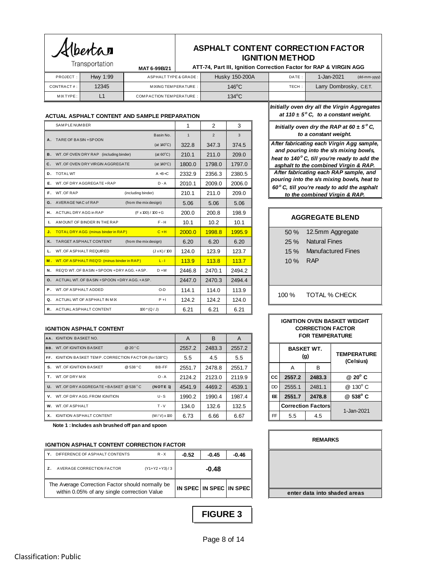|              | <b>ASPHALT CONTENT CORRECTION FACTOR</b>                          |
|--------------|-------------------------------------------------------------------|
|              | <b>IGNITION METHOD</b>                                            |
| MAT 6-99B/21 | ATT-74, Part III, Ignition Correction Factor for RAP & VIRGIN AGG |

|                 | Iransportation | MAT 6-99B/21                   | ATT-74, Part III, Ignition Correction Factor for RAP & VIRGIN AGG |       |                         |              |
|-----------------|----------------|--------------------------------|-------------------------------------------------------------------|-------|-------------------------|--------------|
| <b>PROJECT:</b> | Hwy 1:99       | ASPHALT TYPE & GRADE:          | Husky 150-200A                                                    | DATE: | 1-Jan-2021              | (dd-mm-yyyy) |
| CONTRACT#:      | 12345          | MIXING TEMPERATURE:            | $146^{\circ}$ C                                                   | TECH: | Larry Dombrosky, C.E.T. |              |
| MIX TYPE:       |                | <b>COMPACTION TEMPERATURE:</b> | $134^{\circ}$ C                                                   |       |                         |              |
|                 |                |                                |                                                                   |       |                         |              |

### **ACTUAL ASPHALT CONTENT AND SAMPLE PREPARATION**

Albertan

Transportation

| ACTUAL ASPHALT CONTENT AND SAMPLE PREPARATION |                                                                           |  |              |                |        | <b>Initially over</b><br>at 110 $\pm$ |                                |
|-----------------------------------------------|---------------------------------------------------------------------------|--|--------------|----------------|--------|---------------------------------------|--------------------------------|
|                                               | SAMPLE NUMBER                                                             |  | 1            | $\mathcal{P}$  | 3      |                                       | Initially of                   |
|                                               | Basin No.                                                                 |  | $\mathbf{1}$ | $\overline{2}$ | 3      |                                       |                                |
|                                               | A. TARE OF BASIN + SPOON<br>(at $140^{\circ}$ C)                          |  | 322.8        | 347.3          | 374.5  |                                       | After fabric                   |
|                                               | <b>B.</b> WT. OF OVEN DRY RAP (including binder)<br>(at $60^{\circ}$ C)   |  | 210.1        | 211.0          | 209.0  |                                       | and pouri<br>heat to 140       |
|                                               | C. WT. OF OVEN DRY VIRGIN AGGREGATE<br>(at $140^{\circ}$ C)               |  | 1800.0       | 1798.0         | 1797.0 |                                       | asphalt to                     |
|                                               | <b>D.</b> TOTALWT<br>$A + B + C$                                          |  | 2332.9       | 2356.3         | 2380.5 |                                       | After fabri                    |
|                                               | E. WT. OF DRY AGGREGATE + RAP<br>$D - A$                                  |  | 2010.1       | 2009.0         | 2006.0 |                                       | pouring int                    |
|                                               | F. WT. OF RAP<br>(including binder)                                       |  | 210.1        | 211.0          | 209.0  |                                       | $60^\circ$ C, till y<br>to the |
|                                               | G. AVERAGE %AC of RAP<br>(from the mix design)                            |  | 5.06         | 5.06           | 5.06   |                                       |                                |
|                                               | H. ACTUAL DRY AGG in RAP<br>$(F \times 100) / 100 + G$                    |  | 200.0        | 200.8          | 198.9  |                                       |                                |
| Ι.                                            | $F - H$<br>AMOUNT OF BINDER IN THE RAP                                    |  | 10.1         | 10.2           | 10.1   |                                       | AG                             |
|                                               | $C + H$<br>J. TOTAL DRY AGG (minus binder in RAP)                         |  | 2000.0       | 1998.8         | 1995.9 |                                       | 50%                            |
|                                               | K. TARGET ASPHALT CONTENT<br>(from the mix design)                        |  | 6.20         | 6.20           | 6.20   |                                       | 25 %                           |
| L.                                            | WT. OF ASPHALT REQUIRED<br>$(J \times K) / 100$                           |  | 124.0        | 123.9          | 123.7  |                                       | 15%                            |
|                                               | M. WT. OF ASPHALT REQ'D (minus binder in RAP)<br><b>Contract Contract</b> |  | 113.9        | 113.8          | 113.7  |                                       | 10 %                           |
|                                               | N. REQ'D WT. OF BASIN + SPOON + DRY AGG. + ASP.<br>$D + M$                |  | 2446.8       | 2470.1         | 2494.2 |                                       |                                |
|                                               | <b>O.</b> ACTUAL WT. OF BASIN + SPOON + DRY AGG. + ASP.                   |  | 2447.0       | 2470.3         | 2494.4 |                                       |                                |
|                                               | $O-D$<br>P. WT. OF ASPHALT ADDED                                          |  | 114.1        | 114.0          | 113.9  |                                       |                                |
|                                               | Q. ACTUAL WT OF ASPHALT IN MIX<br>$P + I$                                 |  | 124.2        | 124.2          | 124.0  |                                       | 100 %                          |
|                                               | R. ACTUAL ASPHALT CONTENT<br>$100*(Q/J)$                                  |  | 6.21         | 6.21           | 6.21   |                                       |                                |

### **IGNITION ASPHALT CONTENT**

|    | AA. IGNITION BASKET NO.                                 |                    | A      | B      | A      |    |                          | <b>FOR TEMP</b> |
|----|---------------------------------------------------------|--------------------|--------|--------|--------|----|--------------------------|-----------------|
|    | <b>BB. WT. OF IGNITION BASKET</b><br>@20°C              |                    | 2557.2 | 2483.3 | 2557.2 |    | <b>BASKET WT.</b>        |                 |
|    | FF. IGNITION BASKET TEMP. CORRECTION FACTOR (for 538°C) |                    | 5.5    | 4.5    | 5.5    |    |                          | (g)             |
| S. | <b>WT. OF IGNITION BASKET</b><br>@ 538 °C               | BB-FF              | 2551.7 | 2478.8 | 2551.7 |    | A                        | B               |
| т. | WT. OF DRY MIX                                          | $O - A$            | 2124.2 | 2123.0 | 2119.9 | CС | 2557.2                   | 2483.3          |
|    | <b>U.</b> WT. OF DRY AGGREGATE + BASKET @ 538 °C        | (NOTE 1)           | 4541.9 | 4469.2 | 4539.1 | DD | 2555.1                   | 2481.1          |
|    | V. WT. OF DRY AGG. FROM IGNITION                        | $U - S$            | 1990.2 | 1990.4 | 1987.4 | Œ  | 2551.7                   | 2478.8          |
|    | W. WT. OF ASPHALT                                       | $T - V$            | 134.0  | 132.6  | 132.5  |    | <b>Correction Factor</b> |                 |
| X. | <b>IGNITION ASPHALT CONTENT</b>                         | $(W/V) \times 100$ | 6.73   | 6.66   | 6.67   | FF | 5.5                      | 4.5             |

**Note 1 : Includes ash brushed off pan and spoon**

| IGNITION ASPHALT CONTENT CORRECTION FACTOR |
|--------------------------------------------|
|                                            |

|   | <b>IGNITION ASPHALT CONTENT CORRECTION FACTOR</b>                                                |                |                         |         |         |
|---|--------------------------------------------------------------------------------------------------|----------------|-------------------------|---------|---------|
| Υ | DIFFERENCE OF ASPHALT CONTENTS                                                                   | $R - X$        | $-0.52$                 | $-0.45$ | $-0.46$ |
| 7 | AVERAGE CORRECTION FACTOR                                                                        | $(Y1+Y2+Y3)/3$ |                         | $-0.48$ |         |
|   | The Average Correction Factor should normally be<br>within 0.05% of any single corrrection Value |                | IN SPEC IN SPEC IN SPEC |         |         |

*Initially oven dry all the Virgin Aggregates at 110*  $\pm$  5<sup>°</sup> C, to a constant weight.

*Initially oven dry the RAP at 60*  $\pm$  5° C, *to a constant weight.*

*After fabricating each Virgin Agg sample, and pouring into the s/s mixing bowls, heat to 140 <sup>o</sup> C, till you're ready to add the asphalt to the combined Virgin & RAP. After fabricating each RAP sample, and pouring into the s/s mixing bowls, heat to 60 <sup>o</sup> C, till you're ready to add the asphalt to the combined Virgin & RAP.*

|  | <b>AGGREGATE BLEND</b> |
|--|------------------------|
|  |                        |

| $50 \%$ | 12.5mm Aggregate          |
|---------|---------------------------|
| $25 \%$ | <b>Natural Fines</b>      |
| $15 \%$ | <b>Manufactured Fines</b> |
| $10\%$  | <b>RAP</b>                |
|         |                           |

<sup>100 %</sup> TOTAL % CHECK

| IGNITION OVEN BASKET WEIGHT<br><b>CORRECTION FACTOR</b><br><b>FOR TEMPERATURE</b> |                          |                           |                                 |  |  |  |
|-----------------------------------------------------------------------------------|--------------------------|---------------------------|---------------------------------|--|--|--|
|                                                                                   | <b>BASKET WT.</b><br>(q) |                           | <b>TEMPERATURE</b><br>(Celsius) |  |  |  |
|                                                                                   | A                        | B                         |                                 |  |  |  |
| СC                                                                                | 2557.2                   | 2483.3                    | $@20^{\circ}$ C                 |  |  |  |
| DD                                                                                | 2555.1                   | 2481.1                    | @ 130° C                        |  |  |  |
| Œ                                                                                 | 2551.7                   | 2478.8                    | @ 538° C                        |  |  |  |
|                                                                                   |                          | <b>Correction Factors</b> | 1-Jan-2021                      |  |  |  |
| FF                                                                                | 5.5                      | 4.5                       |                                 |  |  |  |

| <b>REMARKS</b>               |  |  |  |
|------------------------------|--|--|--|
|                              |  |  |  |
|                              |  |  |  |
| enter data into shaded areas |  |  |  |

*FIGURE 3* **FIGURE 3**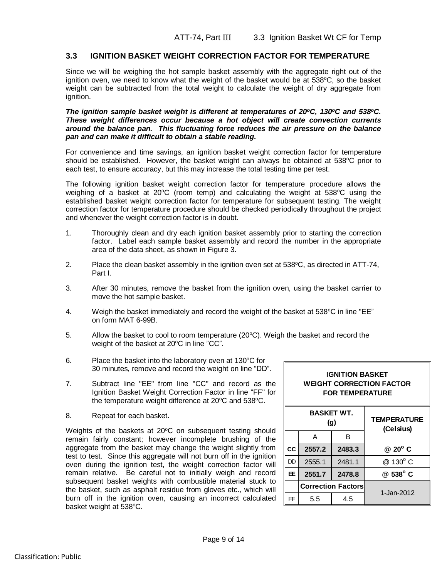# **3.3 IGNITION BASKET WEIGHT CORRECTION FACTOR FOR TEMPERATURE**

Since we will be weighing the hot sample basket assembly with the aggregate right out of the ignition oven, we need to know what the weight of the basket would be at 538°C, so the basket weight can be subtracted from the total weight to calculate the weight of dry aggregate from ignition.

## *The ignition sample basket weight is different at temperatures of 20<sup>o</sup>C, 130<sup>o</sup>C and 538<sup>o</sup>C. These weight differences occur because a hot object will create convection currents around the balance pan. This fluctuating force reduces the air pressure on the balance pan and can make it difficult to obtain a stable reading.*

For convenience and time savings, an ignition basket weight correction factor for temperature should be established. However, the basket weight can always be obtained at  $538^{\circ}$ C prior to each test, to ensure accuracy, but this may increase the total testing time per test.

The following ignition basket weight correction factor for temperature procedure allows the weighing of a basket at  $20^{\circ}$ C (room temp) and calculating the weight at  $538^{\circ}$ C using the established basket weight correction factor for temperature for subsequent testing. The weight correction factor for temperature procedure should be checked periodically throughout the project and whenever the weight correction factor is in doubt.

- 1. Thoroughly clean and dry each ignition basket assembly prior to starting the correction factor. Label each sample basket assembly and record the number in the appropriate area of the data sheet, as shown in Figure 3.
- 2. Place the clean basket assembly in the ignition oven set at  $538^{\circ}$ C, as directed in ATT-74, Part I.
- 3. After 30 minutes, remove the basket from the ignition oven, using the basket carrier to move the hot sample basket.
- 4. Weigh the basket immediately and record the weight of the basket at  $538^{\circ}$ C in line "EE" on form MAT 6-99B.
- 5. Allow the basket to cool to room temperature  $(20^{\circ}C)$ . Weigh the basket and record the weight of the basket at 20°C in line "CC".
- 6. Place the basket into the laboratory oven at  $130^{\circ}$ C for 30 minutes, remove and record the weight on line "DD".
- 7. Subtract line "EE" from line "CC" and record as the Ignition Basket Weight Correction Factor in line "FF" for the temperature weight difference at  $20^{\circ}$ C and  $538^{\circ}$ C.
- 8. Repeat for each basket.

Weights of the baskets at  $20^{\circ}$ C on subsequent testing should remain fairly constant; however incomplete brushing of the aggregate from the basket may change the weight slightly from test to test. Since this aggregate will not burn off in the ignition oven during the ignition test, the weight correction factor will remain relative. Be careful not to initially weigh and record subsequent basket weights with combustible material stuck to the basket, such as asphalt residue from gloves etc., which will burn off in the ignition oven, causing an incorrect calculated basket weight at 538°C.

| <b>IGNITION BASKET</b><br><b>WEIGHT CORRECTION FACTOR</b><br><b>FOR TEMPERATURE</b> |        |        |                                 |  |  |
|-------------------------------------------------------------------------------------|--------|--------|---------------------------------|--|--|
| <b>BASKET WT.</b><br>(g)                                                            |        |        | <b>TEMPERATURE</b><br>(Celsius) |  |  |
|                                                                                     | А      | в      |                                 |  |  |
| CC                                                                                  | 2557.2 | 2483.3 | $@$ 20 $^{\circ}$ C             |  |  |
| DD                                                                                  | 2555.1 | 2481.1 | @ 130° C                        |  |  |
| EE.                                                                                 | 2551.7 | 2478.8 | $@538^{\circ}$ C                |  |  |
| <b>Correction Factors</b>                                                           |        |        | 1-Jan-2012                      |  |  |
| FF                                                                                  | 5.5    | 4.5    |                                 |  |  |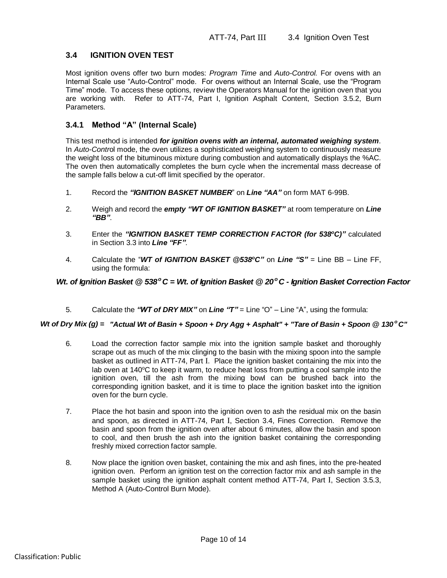# **3.4 IGNITION OVEN TEST**

Most ignition ovens offer two burn modes: *Program Time* and *Auto-Control.* For ovens with an Internal Scale use "Auto-Control" mode. For ovens without an Internal Scale, use the "Program Time" mode. To access these options, review the Operators Manual for the ignition oven that you are working with. Refer to ATT-74, Part I, Ignition Asphalt Content, Section 3.5.2, Burn Parameters.

# **3.4.1 Method "A" (Internal Scale)**

This test method is intended *for ignition ovens with an internal, automated weighing system*. In *Auto-Contr*ol mode, the oven utilizes a sophisticated weighing system to continuously measure the weight loss of the bituminous mixture during combustion and automatically displays the %AC. The oven then automatically completes the burn cycle when the incremental mass decrease of the sample falls below a cut-off limit specified by the operator.

- 1. Record the *"IGNITION BASKET NUMBER*" on *Line "AA"* on form MAT 6-99B.
- 2. Weigh and record the *empty "WT OF IGNITION BASKET"* at room temperature on *Line "BB"*.
- 3. Enter the *"IGNITION BASKET TEMP CORRECTION FACTOR (for 538<sup>o</sup>C)"* calculated in Section 3.3 into *Line "FF"*.
- 4. Calculate the "*WT of IGNITION BASKET @538<sup>o</sup>C"* on *Line "S"* = Line BB Line FF, using the formula:

5. Calculate the *"WT of DRY MIX"* on *Line "T"* = Line "O" – Line "A", using the formula:

- Wt. of Ignition Basket @ 538° C = Wt. of Ignition Basket @ 20° C Ignition Basket Correction Factor<br>
5. Celculate the "WT of DRY MIX" on Line "T" = Line "O" Line "A", using the formula:<br>
Wto fory MIx (g) = "Actual Wt o 6. Load the correction factor sample mix into the ignition sample basket and thoroughly scrape out as much of the mix clinging to the basin with the mixing spoon into the sample basket as outlined in ATT-74, Part I. Place the ignition basket containing the mix into the lab oven at 140°C to keep it warm, to reduce heat loss from putting a cool sample into the ignition oven, till the ash from the mixing bowl can be brushed back into the corresponding ignition basket, and it is time to place the ignition basket into the ignition oven for the burn cycle.
	- 7. Place the hot basin and spoon into the ignition oven to ash the residual mix on the basin and spoon, as directed in ATT-74, Part I, Section 3.4, Fines Correction. Remove the basin and spoon from the ignition oven after about 6 minutes, allow the basin and spoon to cool, and then brush the ash into the ignition basket containing the corresponding freshly mixed correction factor sample.
	- 8. Now place the ignition oven basket, containing the mix and ash fines, into the pre-heated ignition oven. Perform an ignition test on the correction factor mix and ash sample in the sample basket using the ignition asphalt content method ATT-74, Part I, Section 3.5.3, Method A (Auto-Control Burn Mode).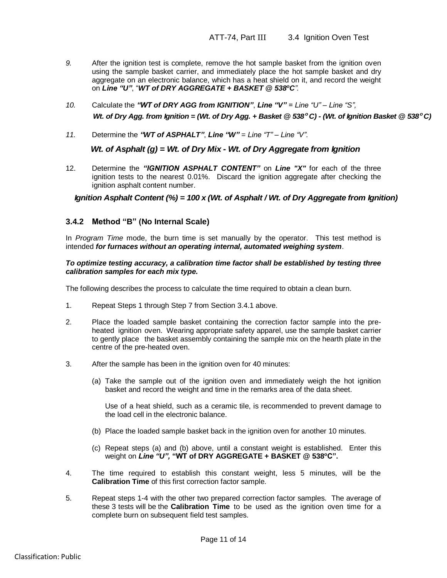- *9.* After the ignition test is complete, remove the hot sample basket from the ignition oven using the sample basket carrier, and immediately place the hot sample basket and dry aggregate on an electronic balance, which has a heat shield on it, and record the weight on *Line "U"*, "*WT of DRY AGGREGATE + BASKET @ 538<sup>o</sup>C".*
- *10.* Calculate the *"WT of DRY AGG from IGNITION"*, *Line "V" = Line "U" – Line "S", Wt. of Dry Agg. from Ignition = (Wt. of Dry Agg. + Basket @ 538 <sup>o</sup>C) - (Wt. of Ignition Basket @ 538 <sup>o</sup>C)*
- *11.* Determine the *"WT of ASPHALT"*, *Line "W" = Line "T" – Line "V".*

12. Determine the *"IGNITION ASPHALT CONTENT"* on *Line "X"* for each of the three ignition tests to the nearest 0.01%. Discard the ignition aggregate after checking the ignition asphalt content number.

## **3.4.2 Method "B" (No Internal Scale)**

In *Program Time* mode, the burn time is set manually by the operator. This test method is intended *for furnaces without an operating internal, automated weighing system*.

## *To optimize testing accuracy, a calibration time factor shall be established by testing three calibration samples for each mix type.*

The following describes the process to calculate the time required to obtain a clean burn.

- 1. Repeat Steps 1 through Step 7 from Section 3.4.1 above.
- Wt. of Asphalt (g) = Wt. of Dry Mix Wt. of Dry Aggregate from Ignition<br>
12. Determine the "GMIYON ASPHALT CONTENT" content of the "X" for each of the firstnessific content (%) = 100 x (Wt. of Asphalt / Wt. of Dry Aggrega 2. Place the loaded sample basket containing the correction factor sample into the preheated ignition oven. Wearing appropriate safety apparel, use the sample basket carrier to gently place the basket assembly containing the sample mix on the hearth plate in the centre of the pre-heated oven.
	- 3. After the sample has been in the ignition oven for 40 minutes:
		- (a) Take the sample out of the ignition oven and immediately weigh the hot ignition basket and record the weight and time in the remarks area of the data sheet.

Use of a heat shield, such as a ceramic tile, is recommended to prevent damage to the load cell in the electronic balance.

- (b) Place the loaded sample basket back in the ignition oven for another 10 minutes.
- (c) Repeat steps (a) and (b) above, until a constant weight is established. Enter this weight on *Line "U",* **"WT of DRY AGGREGATE + BASKET @ 538<sup>o</sup>C".**
- 4. The time required to establish this constant weight, less 5 minutes, will be the **Calibration Time** of this first correction factor sample.
- 5. Repeat steps 1-4 with the other two prepared correction factor samples. The average of these 3 tests will be the **Calibration Time** to be used as the ignition oven time for a complete burn on subsequent field test samples.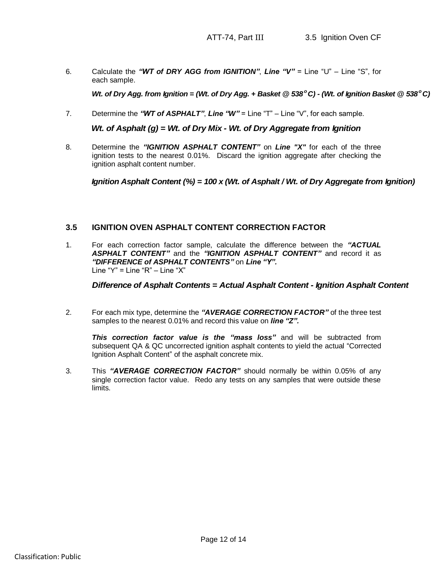6. Calculate the *"WT of DRY AGG from IGNITION"*, *Line "V"* = Line "U" – Line "S", for each sample.

7. Determine the *"WT of ASPHALT"*, *Line "W"* = Line "T" – Line "V", for each sample.

8. Determine the *"IGNITION ASPHALT CONTENT"* on *Line "X"* for each of the three ignition tests to the nearest 0.01%. Discard the ignition aggregate after checking the ignition asphalt content number.

## **3.5 IGNITION OVEN ASPHALT CONTENT CORRECTION FACTOR**

We of Dry Agg. from Ignition = (We of Dry Agg. + Basiset @ 539°C) - (We of Ignition Basiset @ 539°C)<br>
7. Determine the "WF of AgyMalt (g) = We of Dry Mix" - Unit - We of Dry Aggregate from Ignition<br>
8. Determine the "WF o 1. For each correction factor sample, calculate the difference between the *"ACTUAL ASPHALT CONTENT"* and the *"IGNITION ASPHALT CONTENT"* and record it as *"DIFFERENCE of ASPHALT CONTENTS"* on *Line "Y".* Line " $Y$ " = Line " $R$ " – Line " $X$ "

2. For each mix type, determine the *"AVERAGE CORRECTION FACTOR"* of the three test samples to the nearest 0.01% and record this value on *line "Z".*

*This correction factor value is the "mass loss"* and will be subtracted from subsequent QA & QC uncorrected ignition asphalt contents to yield the actual "Corrected Ignition Asphalt Content" of the asphalt concrete mix.

3. This *"AVERAGE CORRECTION FACTOR"* should normally be within 0.05% of any single correction factor value. Redo any tests on any samples that were outside these limits.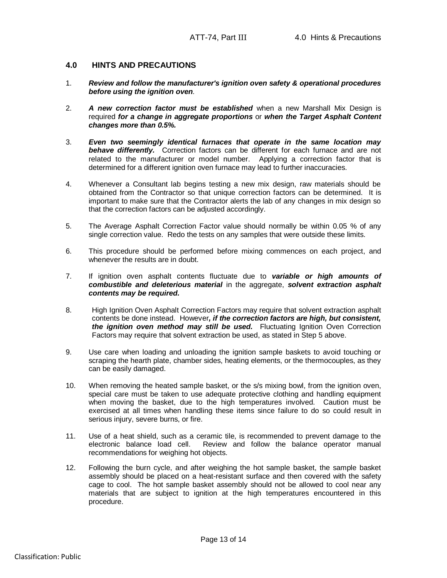## **4.0 HINTS AND PRECAUTIONS**

- 1. *Review and follow the manufacturer's ignition oven safety & operational procedures before using the ignition oven.*
- 2. *A new correction factor must be established* when a new Marshall Mix Design is required *for a change in aggregate proportions* or *when the Target Asphalt Content changes more than 0.5%.*
- 3. *Even two seemingly identical furnaces that operate in the same location may behave differently.* Correction factors can be different for each furnace and are not related to the manufacturer or model number. Applying a correction factor that is determined for a different ignition oven furnace may lead to further inaccuracies.
- 4. Whenever a Consultant lab begins testing a new mix design, raw materials should be obtained from the Contractor so that unique correction factors can be determined. It is important to make sure that the Contractor alerts the lab of any changes in mix design so that the correction factors can be adjusted accordingly.
- 5. The Average Asphalt Correction Factor value should normally be within 0.05 % of any single correction value. Redo the tests on any samples that were outside these limits.
- 6. This procedure should be performed before mixing commences on each project, and whenever the results are in doubt.
- 7. If ignition oven asphalt contents fluctuate due to *variable or high amounts of combustible and deleterious material* in the aggregate, *solvent extraction asphalt contents may be required.*
- 8. High Ignition Oven Asphalt Correction Factors may require that solvent extraction asphalt contents be done instead. However*, if the correction factors are high, but consistent, the ignition oven method may still be used.* Fluctuating Ignition Oven Correction Factors may require that solvent extraction be used, as stated in Step 5 above.
- 9. Use care when loading and unloading the ignition sample baskets to avoid touching or scraping the hearth plate, chamber sides, heating elements, or the thermocouples, as they can be easily damaged.
- 10. When removing the heated sample basket, or the s/s mixing bowl, from the ignition oven, special care must be taken to use adequate protective clothing and handling equipment when moving the basket, due to the high temperatures involved. Caution must be exercised at all times when handling these items since failure to do so could result in serious injury, severe burns, or fire.
- 11. Use of a heat shield, such as a ceramic tile, is recommended to prevent damage to the electronic balance load cell. Review and follow the balance operator manual recommendations for weighing hot objects.
- 12. Following the burn cycle, and after weighing the hot sample basket, the sample basket assembly should be placed on a heat-resistant surface and then covered with the safety cage to cool. The hot sample basket assembly should not be allowed to cool near any materials that are subject to ignition at the high temperatures encountered in this procedure.